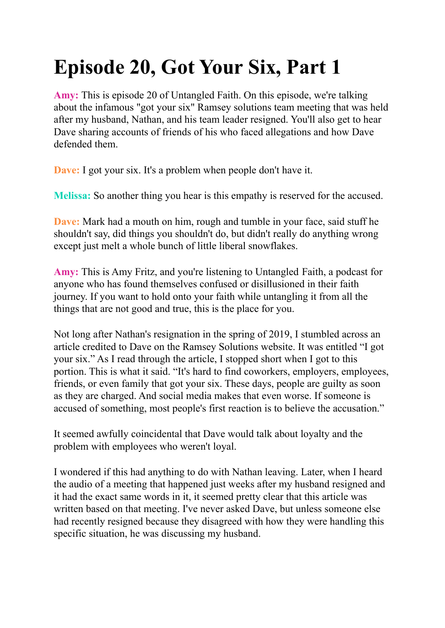# **Episode 20, Got Your Six, Part 1**

**Amy:** This is episode 20 of Untangled Faith. On this episode, we're talking about the infamous "got your six" Ramsey solutions team meeting that was held after my husband, Nathan, and his team leader resigned. You'll also get to hear Dave sharing accounts of friends of his who faced allegations and how Dave defended them.

**Dave:** I got your six. It's a problem when people don't have it.

**Melissa:** So another thing you hear is this empathy is reserved for the accused.

**Dave:** Mark had a mouth on him, rough and tumble in your face, said stuff he shouldn't say, did things you shouldn't do, but didn't really do anything wrong except just melt a whole bunch of little liberal snowflakes.

**Amy:** This is Amy Fritz, and you're listening to Untangled Faith, a podcast for anyone who has found themselves confused or disillusioned in their faith journey. If you want to hold onto your faith while untangling it from all the things that are not good and true, this is the place for you.

Not long after Nathan's resignation in the spring of 2019, I stumbled across an article credited to Dave on the Ramsey Solutions website. It was entitled "I got your six." As I read through the article, I stopped short when I got to this portion. This is what it said. "It's hard to find coworkers, employers, employees, friends, or even family that got your six. These days, people are guilty as soon as they are charged. And social media makes that even worse. If someone is accused of something, most people's first reaction is to believe the accusation."

It seemed awfully coincidental that Dave would talk about loyalty and the problem with employees who weren't loyal.

I wondered if this had anything to do with Nathan leaving. Later, when I heard the audio of a meeting that happened just weeks after my husband resigned and it had the exact same words in it, it seemed pretty clear that this article was written based on that meeting. I've never asked Dave, but unless someone else had recently resigned because they disagreed with how they were handling this specific situation, he was discussing my husband.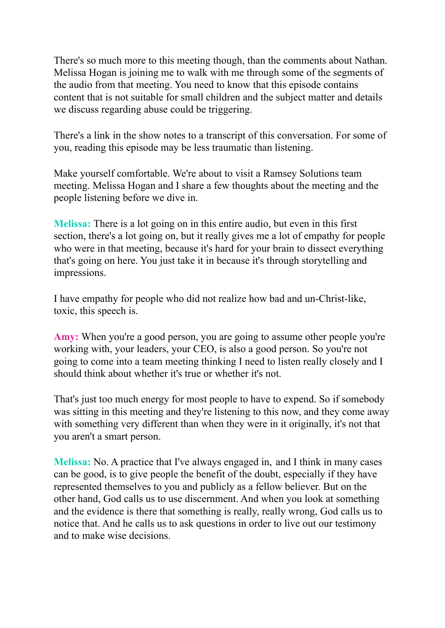There's so much more to this meeting though, than the comments about Nathan. Melissa Hogan is joining me to walk with me through some of the segments of the audio from that meeting. You need to know that this episode contains content that is not suitable for small children and the subject matter and details we discuss regarding abuse could be triggering.

There's a link in the show notes to a transcript of this conversation. For some of you, reading this episode may be less traumatic than listening.

Make yourself comfortable. We're about to visit a Ramsey Solutions team meeting. Melissa Hogan and I share a few thoughts about the meeting and the people listening before we dive in.

**Melissa:** There is a lot going on in this entire audio, but even in this first section, there's a lot going on, but it really gives me a lot of empathy for people who were in that meeting, because it's hard for your brain to dissect everything that's going on here. You just take it in because it's through storytelling and impressions.

I have empathy for people who did not realize how bad and un-Christ-like, toxic, this speech is.

**Amy:** When you're a good person, you are going to assume other people you're working with, your leaders, your CEO, is also a good person. So you're not going to come into a team meeting thinking I need to listen really closely and I should think about whether it's true or whether it's not.

That's just too much energy for most people to have to expend. So if somebody was sitting in this meeting and they're listening to this now, and they come away with something very different than when they were in it originally, it's not that you aren't a smart person.

**Melissa:** No. A practice that I've always engaged in, and I think in many cases can be good, is to give people the benefit of the doubt, especially if they have represented themselves to you and publicly as a fellow believer. But on the other hand, God calls us to use discernment. And when you look at something and the evidence is there that something is really, really wrong, God calls us to notice that. And he calls us to ask questions in order to live out our testimony and to make wise decisions.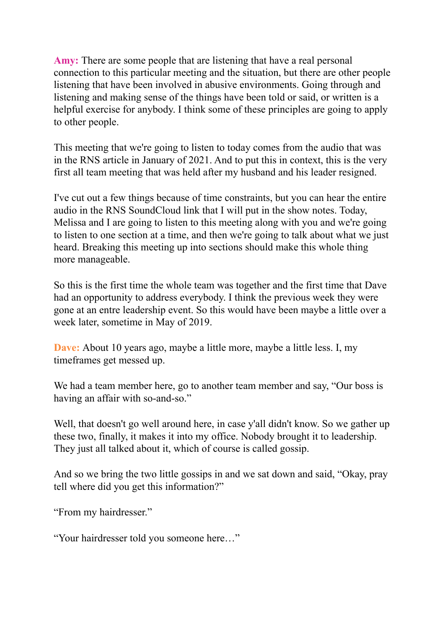**Amy:** There are some people that are listening that have a real personal connection to this particular meeting and the situation, but there are other people listening that have been involved in abusive environments. Going through and listening and making sense of the things have been told or said, or written is a helpful exercise for anybody. I think some of these principles are going to apply to other people.

This meeting that we're going to listen to today comes from the audio that was in the RNS article in January of 2021. And to put this in context, this is the very first all team meeting that was held after my husband and his leader resigned.

I've cut out a few things because of time constraints, but you can hear the entire audio in the RNS SoundCloud link that I will put in the show notes. Today, Melissa and I are going to listen to this meeting along with you and we're going to listen to one section at a time, and then we're going to talk about what we just heard. Breaking this meeting up into sections should make this whole thing more manageable.

So this is the first time the whole team was together and the first time that Dave had an opportunity to address everybody. I think the previous week they were gone at an entre leadership event. So this would have been maybe a little over a week later, sometime in May of 2019.

**Dave:** About 10 years ago, maybe a little more, maybe a little less. I, my timeframes get messed up.

We had a team member here, go to another team member and say, "Our boss is having an affair with so-and-so."

Well, that doesn't go well around here, in case y'all didn't know. So we gather up these two, finally, it makes it into my office. Nobody brought it to leadership. They just all talked about it, which of course is called gossip.

And so we bring the two little gossips in and we sat down and said, "Okay, pray tell where did you get this information?"

"From my hairdresser."

"Your hairdresser told you someone here…"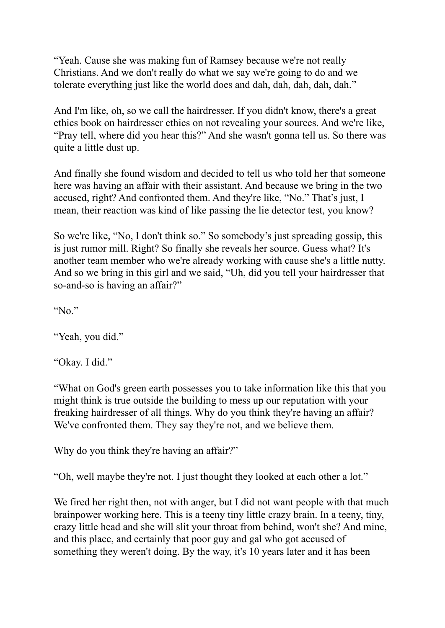"Yeah. Cause she was making fun of Ramsey because we're not really Christians. And we don't really do what we say we're going to do and we tolerate everything just like the world does and dah, dah, dah, dah, dah."

And I'm like, oh, so we call the hairdresser. If you didn't know, there's a great ethics book on hairdresser ethics on not revealing your sources. And we're like, "Pray tell, where did you hear this?" And she wasn't gonna tell us. So there was quite a little dust up.

And finally she found wisdom and decided to tell us who told her that someone here was having an affair with their assistant. And because we bring in the two accused, right? And confronted them. And they're like, "No." That's just, I mean, their reaction was kind of like passing the lie detector test, you know?

So we're like, "No, I don't think so." So somebody's just spreading gossip, this is just rumor mill. Right? So finally she reveals her source. Guess what? It's another team member who we're already working with cause she's a little nutty. And so we bring in this girl and we said, "Uh, did you tell your hairdresser that so-and-so is having an affair?"

"No."

"Yeah, you did."

"Okay. I did."

"What on God's green earth possesses you to take information like this that you might think is true outside the building to mess up our reputation with your freaking hairdresser of all things. Why do you think they're having an affair? We've confronted them. They say they're not, and we believe them.

Why do you think they're having an affair?"

"Oh, well maybe they're not. I just thought they looked at each other a lot."

We fired her right then, not with anger, but I did not want people with that much brainpower working here. This is a teeny tiny little crazy brain. In a teeny, tiny, crazy little head and she will slit your throat from behind, won't she? And mine, and this place, and certainly that poor guy and gal who got accused of something they weren't doing. By the way, it's 10 years later and it has been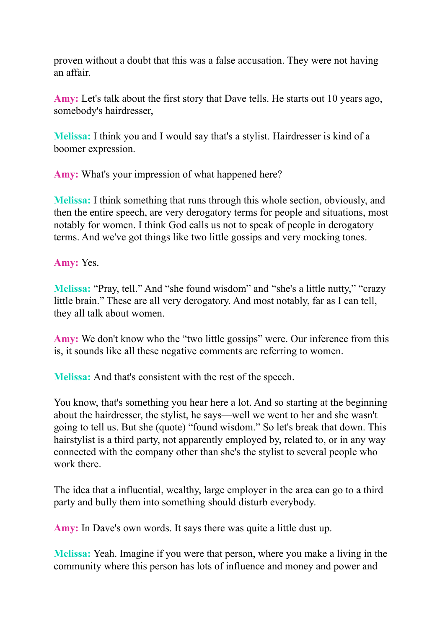proven without a doubt that this was a false accusation. They were not having an affair.

**Amy:** Let's talk about the first story that Dave tells. He starts out 10 years ago, somebody's hairdresser,

**Melissa:** I think you and I would say that's a stylist. Hairdresser is kind of a boomer expression.

**Amy:** What's your impression of what happened here?

**Melissa:** I think something that runs through this whole section, obviously, and then the entire speech, are very derogatory terms for people and situations, most notably for women. I think God calls us not to speak of people in derogatory terms. And we've got things like two little gossips and very mocking tones.

**Amy:** Yes.

**Melissa:** "Pray, tell." And "she found wisdom" and "she's a little nutty," "crazy little brain." These are all very derogatory. And most notably, far as I can tell, they all talk about women.

**Amy:** We don't know who the "two little gossips" were. Our inference from this is, it sounds like all these negative comments are referring to women.

**Melissa:** And that's consistent with the rest of the speech.

You know, that's something you hear here a lot. And so starting at the beginning about the hairdresser, the stylist, he says—well we went to her and she wasn't going to tell us. But she (quote) "found wisdom." So let's break that down. This hairstylist is a third party, not apparently employed by, related to, or in any way connected with the company other than she's the stylist to several people who work there.

The idea that a influential, wealthy, large employer in the area can go to a third party and bully them into something should disturb everybody.

**Amy:** In Dave's own words. It says there was quite a little dust up.

**Melissa:** Yeah. Imagine if you were that person, where you make a living in the community where this person has lots of influence and money and power and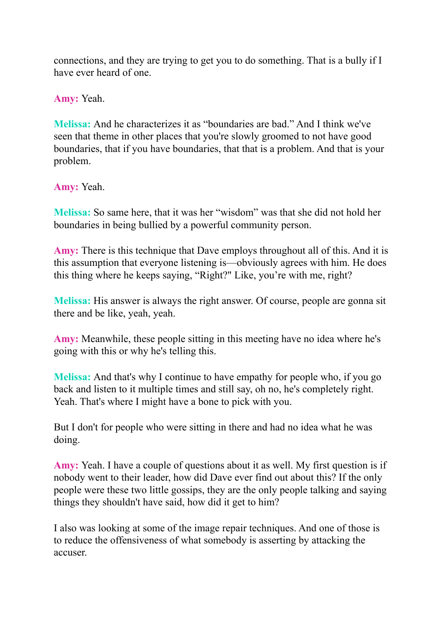connections, and they are trying to get you to do something. That is a bully if I have ever heard of one.

**Amy:** Yeah.

**Melissa:** And he characterizes it as "boundaries are bad." And I think we've seen that theme in other places that you're slowly groomed to not have good boundaries, that if you have boundaries, that that is a problem. And that is your problem.

**Amy:** Yeah.

**Melissa:** So same here, that it was her "wisdom" was that she did not hold her boundaries in being bullied by a powerful community person.

**Amy:** There is this technique that Dave employs throughout all of this. And it is this assumption that everyone listening is—obviously agrees with him. He does this thing where he keeps saying, "Right?" Like, you're with me, right?

**Melissa:** His answer is always the right answer. Of course, people are gonna sit there and be like, yeah, yeah.

**Amy:** Meanwhile, these people sitting in this meeting have no idea where he's going with this or why he's telling this.

**Melissa:** And that's why I continue to have empathy for people who, if you go back and listen to it multiple times and still say, oh no, he's completely right. Yeah. That's where I might have a bone to pick with you.

But I don't for people who were sitting in there and had no idea what he was doing.

**Amy:** Yeah. I have a couple of questions about it as well. My first question is if nobody went to their leader, how did Dave ever find out about this? If the only people were these two little gossips, they are the only people talking and saying things they shouldn't have said, how did it get to him?

I also was looking at some of the image repair techniques. And one of those is to reduce the offensiveness of what somebody is asserting by attacking the accuser.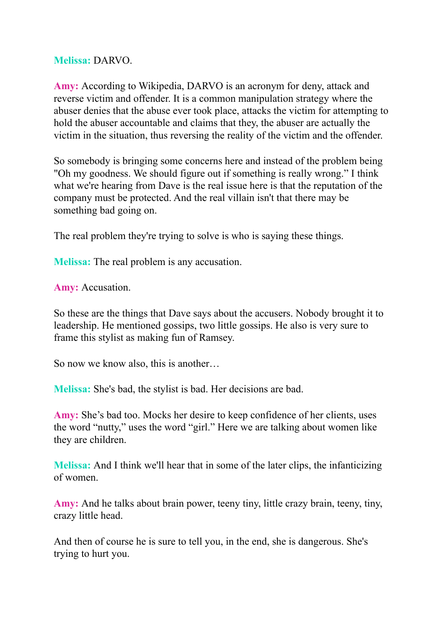### **Melissa:** DARVO.

**Amy:** According to Wikipedia, DARVO is an acronym for deny, attack and reverse victim and offender. It is a common manipulation strategy where the abuser denies that the abuse ever took place, attacks the victim for attempting to hold the abuser accountable and claims that they, the abuser are actually the victim in the situation, thus reversing the reality of the victim and the offender.

So somebody is bringing some concerns here and instead of the problem being "Oh my goodness. We should figure out if something is really wrong." I think what we're hearing from Dave is the real issue here is that the reputation of the company must be protected. And the real villain isn't that there may be something bad going on.

The real problem they're trying to solve is who is saying these things.

**Melissa:** The real problem is any accusation.

**Amy:** Accusation.

So these are the things that Dave says about the accusers. Nobody brought it to leadership. He mentioned gossips, two little gossips. He also is very sure to frame this stylist as making fun of Ramsey.

So now we know also, this is another…

**Melissa:** She's bad, the stylist is bad. Her decisions are bad.

**Amy:** She's bad too. Mocks her desire to keep confidence of her clients, uses the word "nutty," uses the word "girl." Here we are talking about women like they are children.

**Melissa:** And I think we'll hear that in some of the later clips, the infanticizing of women.

**Amy:** And he talks about brain power, teeny tiny, little crazy brain, teeny, tiny, crazy little head.

And then of course he is sure to tell you, in the end, she is dangerous. She's trying to hurt you.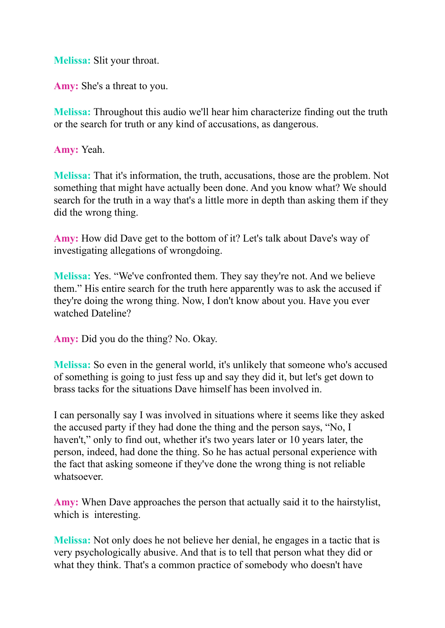**Melissa:** Slit your throat.

**Amy:** She's a threat to you.

**Melissa:** Throughout this audio we'll hear him characterize finding out the truth or the search for truth or any kind of accusations, as dangerous.

**Amy:** Yeah.

**Melissa:** That it's information, the truth, accusations, those are the problem. Not something that might have actually been done. And you know what? We should search for the truth in a way that's a little more in depth than asking them if they did the wrong thing.

**Amy:** How did Dave get to the bottom of it? Let's talk about Dave's way of investigating allegations of wrongdoing.

**Melissa:** Yes. "We've confronted them. They say they're not. And we believe them." His entire search for the truth here apparently was to ask the accused if they're doing the wrong thing. Now, I don't know about you. Have you ever watched Dateline?

**Amy:** Did you do the thing? No. Okay.

**Melissa:** So even in the general world, it's unlikely that someone who's accused of something is going to just fess up and say they did it, but let's get down to brass tacks for the situations Dave himself has been involved in.

I can personally say I was involved in situations where it seems like they asked the accused party if they had done the thing and the person says, "No, I haven't," only to find out, whether it's two years later or 10 years later, the person, indeed, had done the thing. So he has actual personal experience with the fact that asking someone if they've done the wrong thing is not reliable whatsoever.

**Amy:** When Dave approaches the person that actually said it to the hairstylist, which is interesting.

**Melissa:** Not only does he not believe her denial, he engages in a tactic that is very psychologically abusive. And that is to tell that person what they did or what they think. That's a common practice of somebody who doesn't have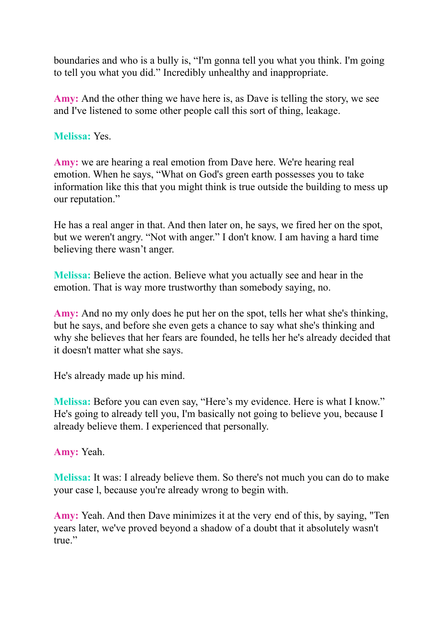boundaries and who is a bully is, "I'm gonna tell you what you think. I'm going to tell you what you did." Incredibly unhealthy and inappropriate.

**Amy:** And the other thing we have here is, as Dave is telling the story, we see and I've listened to some other people call this sort of thing, leakage.

### **Melissa:** Yes.

**Amy:** we are hearing a real emotion from Dave here. We're hearing real emotion. When he says, "What on God's green earth possesses you to take information like this that you might think is true outside the building to mess up our reputation."

He has a real anger in that. And then later on, he says, we fired her on the spot, but we weren't angry. "Not with anger." I don't know. I am having a hard time believing there wasn't anger.

**Melissa:** Believe the action. Believe what you actually see and hear in the emotion. That is way more trustworthy than somebody saying, no.

**Amy:** And no my only does he put her on the spot, tells her what she's thinking, but he says, and before she even gets a chance to say what she's thinking and why she believes that her fears are founded, he tells her he's already decided that it doesn't matter what she says.

He's already made up his mind.

**Melissa:** Before you can even say, "Here's my evidence. Here is what I know." He's going to already tell you, I'm basically not going to believe you, because I already believe them. I experienced that personally.

**Amy:** Yeah.

**Melissa:** It was: I already believe them. So there's not much you can do to make your case l, because you're already wrong to begin with.

**Amy:** Yeah. And then Dave minimizes it at the very end of this, by saying, "Ten years later, we've proved beyond a shadow of a doubt that it absolutely wasn't true."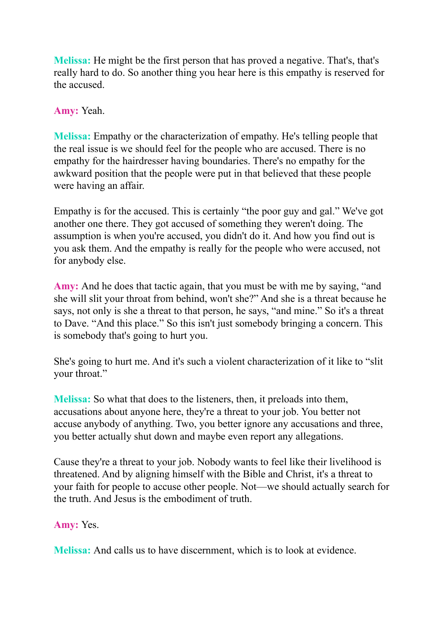**Melissa:** He might be the first person that has proved a negative. That's, that's really hard to do. So another thing you hear here is this empathy is reserved for the accused.

**Amy:** Yeah.

**Melissa:** Empathy or the characterization of empathy. He's telling people that the real issue is we should feel for the people who are accused. There is no empathy for the hairdresser having boundaries. There's no empathy for the awkward position that the people were put in that believed that these people were having an affair.

Empathy is for the accused. This is certainly "the poor guy and gal." We've got another one there. They got accused of something they weren't doing. The assumption is when you're accused, you didn't do it. And how you find out is you ask them. And the empathy is really for the people who were accused, not for anybody else.

**Amy:** And he does that tactic again, that you must be with me by saying, "and she will slit your throat from behind, won't she?" And she is a threat because he says, not only is she a threat to that person, he says, "and mine." So it's a threat to Dave. "And this place." So this isn't just somebody bringing a concern. This is somebody that's going to hurt you.

She's going to hurt me. And it's such a violent characterization of it like to "slit your throat."

**Melissa:** So what that does to the listeners, then, it preloads into them, accusations about anyone here, they're a threat to your job. You better not accuse anybody of anything. Two, you better ignore any accusations and three, you better actually shut down and maybe even report any allegations.

Cause they're a threat to your job. Nobody wants to feel like their livelihood is threatened. And by aligning himself with the Bible and Christ, it's a threat to your faith for people to accuse other people. Not—we should actually search for the truth. And Jesus is the embodiment of truth.

**Amy:** Yes.

**Melissa:** And calls us to have discernment, which is to look at evidence.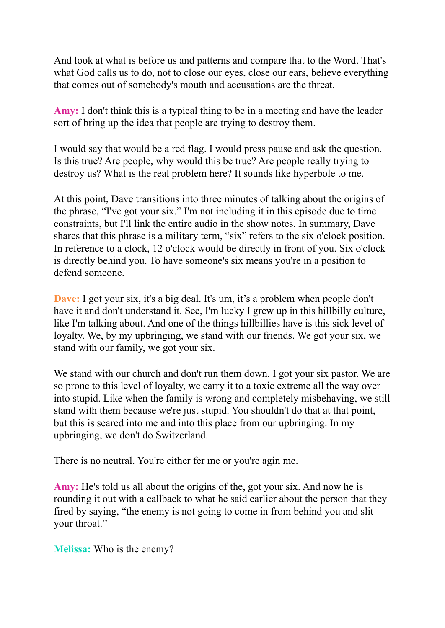And look at what is before us and patterns and compare that to the Word. That's what God calls us to do, not to close our eyes, close our ears, believe everything that comes out of somebody's mouth and accusations are the threat.

**Amy:** I don't think this is a typical thing to be in a meeting and have the leader sort of bring up the idea that people are trying to destroy them.

I would say that would be a red flag. I would press pause and ask the question. Is this true? Are people, why would this be true? Are people really trying to destroy us? What is the real problem here? It sounds like hyperbole to me.

At this point, Dave transitions into three minutes of talking about the origins of the phrase, "I've got your six." I'm not including it in this episode due to time constraints, but I'll link the entire audio in the show notes. In summary, Dave shares that this phrase is a military term, "six" refers to the six o'clock position. In reference to a clock, 12 o'clock would be directly in front of you. Six o'clock is directly behind you. To have someone's six means you're in a position to defend someone.

**Dave:** I got your six, it's a big deal. It's um, it's a problem when people don't have it and don't understand it. See, I'm lucky I grew up in this hillbilly culture, like I'm talking about. And one of the things hillbillies have is this sick level of loyalty. We, by my upbringing, we stand with our friends. We got your six, we stand with our family, we got your six.

We stand with our church and don't run them down. I got your six pastor. We are so prone to this level of loyalty, we carry it to a toxic extreme all the way over into stupid. Like when the family is wrong and completely misbehaving, we still stand with them because we're just stupid. You shouldn't do that at that point, but this is seared into me and into this place from our upbringing. In my upbringing, we don't do Switzerland.

There is no neutral. You're either fer me or you're agin me.

**Amy:** He's told us all about the origins of the, got your six. And now he is rounding it out with a callback to what he said earlier about the person that they fired by saying, "the enemy is not going to come in from behind you and slit your throat."

**Melissa:** Who is the enemy?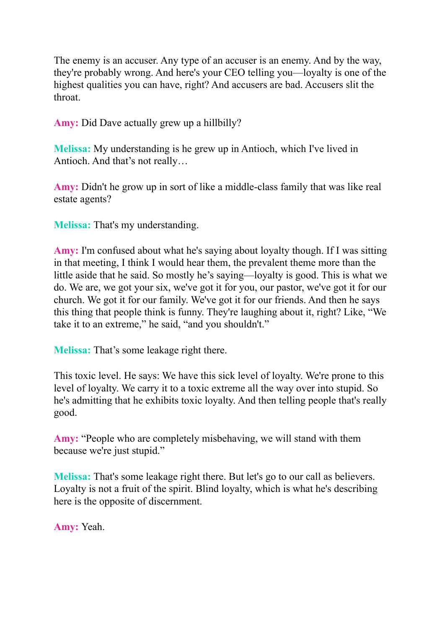The enemy is an accuser. Any type of an accuser is an enemy. And by the way, they're probably wrong. And here's your CEO telling you—loyalty is one of the highest qualities you can have, right? And accusers are bad. Accusers slit the throat.

**Amy:** Did Dave actually grew up a hillbilly?

**Melissa:** My understanding is he grew up in Antioch, which I've lived in Antioch. And that's not really…

**Amy:** Didn't he grow up in sort of like a middle-class family that was like real estate agents?

**Melissa:** That's my understanding.

**Amy:** I'm confused about what he's saying about loyalty though. If I was sitting in that meeting, I think I would hear them, the prevalent theme more than the little aside that he said. So mostly he's saying—loyalty is good. This is what we do. We are, we got your six, we've got it for you, our pastor, we've got it for our church. We got it for our family. We've got it for our friends. And then he says this thing that people think is funny. They're laughing about it, right? Like, "We take it to an extreme," he said, "and you shouldn't."

**Melissa:** That's some leakage right there.

This toxic level. He says: We have this sick level of loyalty. We're prone to this level of loyalty. We carry it to a toxic extreme all the way over into stupid. So he's admitting that he exhibits toxic loyalty. And then telling people that's really good.

**Amy:** "People who are completely misbehaving, we will stand with them because we're just stupid."

**Melissa:** That's some leakage right there. But let's go to our call as believers. Loyalty is not a fruit of the spirit. Blind loyalty, which is what he's describing here is the opposite of discernment.

**Amy:** Yeah.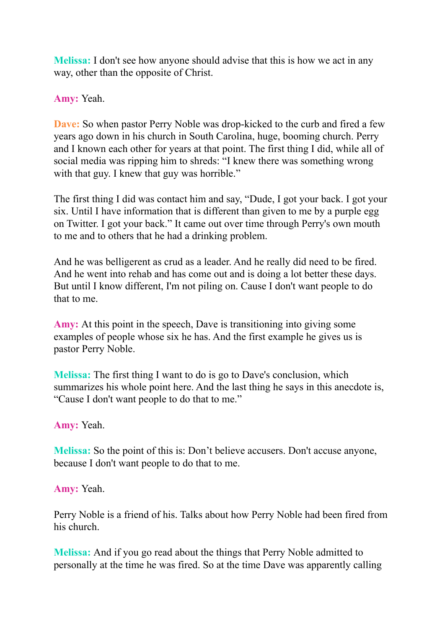**Melissa:** I don't see how anyone should advise that this is how we act in any way, other than the opposite of Christ.

**Amy:** Yeah.

**Dave:** So when pastor Perry Noble was drop-kicked to the curb and fired a few years ago down in his church in South Carolina, huge, booming church. Perry and I known each other for years at that point. The first thing I did, while all of social media was ripping him to shreds: "I knew there was something wrong with that guy. I knew that guy was horrible."

The first thing I did was contact him and say, "Dude, I got your back. I got your six. Until I have information that is different than given to me by a purple egg on Twitter. I got your back." It came out over time through Perry's own mouth to me and to others that he had a drinking problem.

And he was belligerent as crud as a leader. And he really did need to be fired. And he went into rehab and has come out and is doing a lot better these days. But until I know different, I'm not piling on. Cause I don't want people to do that to me.

**Amy:** At this point in the speech, Dave is transitioning into giving some examples of people whose six he has. And the first example he gives us is pastor Perry Noble.

**Melissa:** The first thing I want to do is go to Dave's conclusion, which summarizes his whole point here. And the last thing he says in this anecdote is, "Cause I don't want people to do that to me."

**Amy:** Yeah.

**Melissa:** So the point of this is: Don't believe accusers. Don't accuse anyone, because I don't want people to do that to me.

**Amy:** Yeah.

Perry Noble is a friend of his. Talks about how Perry Noble had been fired from his church.

**Melissa:** And if you go read about the things that Perry Noble admitted to personally at the time he was fired. So at the time Dave was apparently calling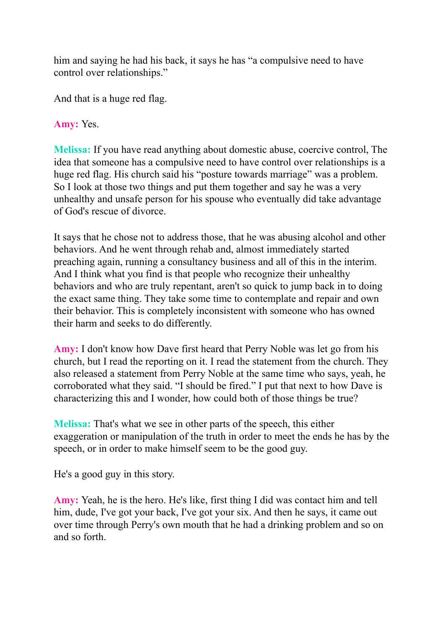him and saying he had his back, it says he has "a compulsive need to have control over relationships."

And that is a huge red flag.

# **Amy:** Yes.

**Melissa:** If you have read anything about domestic abuse, coercive control, The idea that someone has a compulsive need to have control over relationships is a huge red flag. His church said his "posture towards marriage" was a problem. So I look at those two things and put them together and say he was a very unhealthy and unsafe person for his spouse who eventually did take advantage of God's rescue of divorce.

It says that he chose not to address those, that he was abusing alcohol and other behaviors. And he went through rehab and, almost immediately started preaching again, running a consultancy business and all of this in the interim. And I think what you find is that people who recognize their unhealthy behaviors and who are truly repentant, aren't so quick to jump back in to doing the exact same thing. They take some time to contemplate and repair and own their behavior. This is completely inconsistent with someone who has owned their harm and seeks to do differently.

**Amy:** I don't know how Dave first heard that Perry Noble was let go from his church, but I read the reporting on it. I read the statement from the church. They also released a statement from Perry Noble at the same time who says, yeah, he corroborated what they said. "I should be fired." I put that next to how Dave is characterizing this and I wonder, how could both of those things be true?

**Melissa:** That's what we see in other parts of the speech, this either exaggeration or manipulation of the truth in order to meet the ends he has by the speech, or in order to make himself seem to be the good guy.

He's a good guy in this story.

**Amy:** Yeah, he is the hero. He's like, first thing I did was contact him and tell him, dude, I've got your back, I've got your six. And then he says, it came out over time through Perry's own mouth that he had a drinking problem and so on and so forth.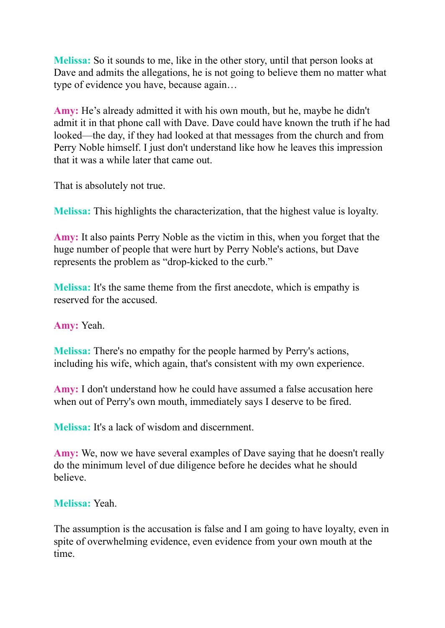**Melissa:** So it sounds to me, like in the other story, until that person looks at Dave and admits the allegations, he is not going to believe them no matter what type of evidence you have, because again…

**Amy:** He's already admitted it with his own mouth, but he, maybe he didn't admit it in that phone call with Dave. Dave could have known the truth if he had looked—the day, if they had looked at that messages from the church and from Perry Noble himself. I just don't understand like how he leaves this impression that it was a while later that came out.

That is absolutely not true.

**Melissa:** This highlights the characterization, that the highest value is loyalty.

**Amy:** It also paints Perry Noble as the victim in this, when you forget that the huge number of people that were hurt by Perry Noble's actions, but Dave represents the problem as "drop-kicked to the curb."

**Melissa:** It's the same theme from the first anecdote, which is empathy is reserved for the accused.

**Amy:** Yeah.

**Melissa:** There's no empathy for the people harmed by Perry's actions, including his wife, which again, that's consistent with my own experience.

**Amy:** I don't understand how he could have assumed a false accusation here when out of Perry's own mouth, immediately says I deserve to be fired.

**Melissa:** It's a lack of wisdom and discernment.

**Amy:** We, now we have several examples of Dave saying that he doesn't really do the minimum level of due diligence before he decides what he should believe.

# **Melissa:** Yeah.

The assumption is the accusation is false and I am going to have loyalty, even in spite of overwhelming evidence, even evidence from your own mouth at the time.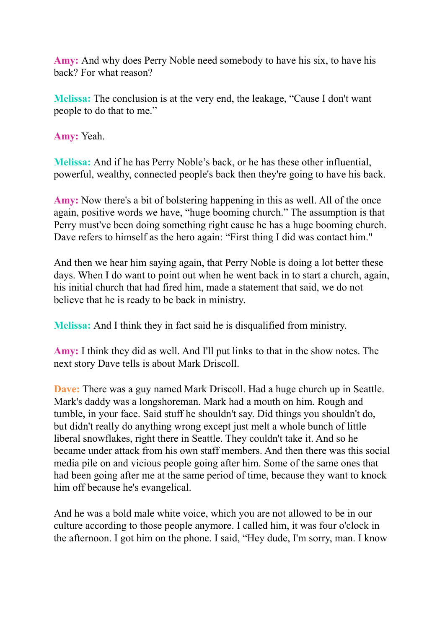**Amy:** And why does Perry Noble need somebody to have his six, to have his back? For what reason?

**Melissa:** The conclusion is at the very end, the leakage, "Cause I don't want people to do that to me."

**Amy:** Yeah.

**Melissa:** And if he has Perry Noble's back, or he has these other influential, powerful, wealthy, connected people's back then they're going to have his back.

**Amy:** Now there's a bit of bolstering happening in this as well. All of the once again, positive words we have, "huge booming church." The assumption is that Perry must've been doing something right cause he has a huge booming church. Dave refers to himself as the hero again: "First thing I did was contact him."

And then we hear him saying again, that Perry Noble is doing a lot better these days. When I do want to point out when he went back in to start a church, again, his initial church that had fired him, made a statement that said, we do not believe that he is ready to be back in ministry.

**Melissa:** And I think they in fact said he is disqualified from ministry.

**Amy:** I think they did as well. And I'll put links to that in the show notes. The next story Dave tells is about Mark Driscoll.

**Dave:** There was a guy named Mark Driscoll. Had a huge church up in Seattle. Mark's daddy was a longshoreman. Mark had a mouth on him. Rough and tumble, in your face. Said stuff he shouldn't say. Did things you shouldn't do, but didn't really do anything wrong except just melt a whole bunch of little liberal snowflakes, right there in Seattle. They couldn't take it. And so he became under attack from his own staff members. And then there was this social media pile on and vicious people going after him. Some of the same ones that had been going after me at the same period of time, because they want to knock him off because he's evangelical.

And he was a bold male white voice, which you are not allowed to be in our culture according to those people anymore. I called him, it was four o'clock in the afternoon. I got him on the phone. I said, "Hey dude, I'm sorry, man. I know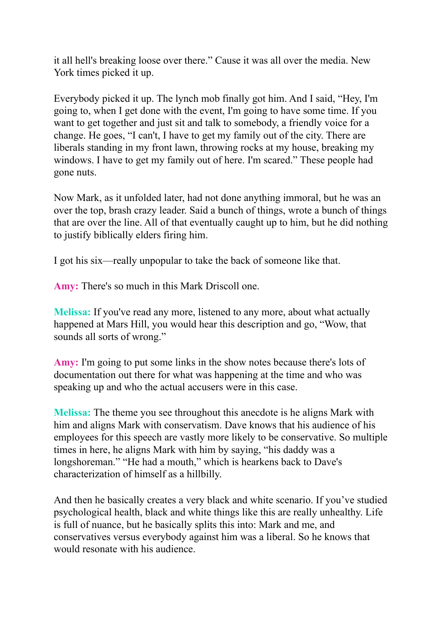it all hell's breaking loose over there." Cause it was all over the media. New York times picked it up.

Everybody picked it up. The lynch mob finally got him. And I said, "Hey, I'm going to, when I get done with the event, I'm going to have some time. If you want to get together and just sit and talk to somebody, a friendly voice for a change. He goes, "I can't, I have to get my family out of the city. There are liberals standing in my front lawn, throwing rocks at my house, breaking my windows. I have to get my family out of here. I'm scared." These people had gone nuts.

Now Mark, as it unfolded later, had not done anything immoral, but he was an over the top, brash crazy leader. Said a bunch of things, wrote a bunch of things that are over the line. All of that eventually caught up to him, but he did nothing to justify biblically elders firing him.

I got his six—really unpopular to take the back of someone like that.

**Amy:** There's so much in this Mark Driscoll one.

**Melissa:** If you've read any more, listened to any more, about what actually happened at Mars Hill, you would hear this description and go, "Wow, that sounds all sorts of wrong."

**Amy:** I'm going to put some links in the show notes because there's lots of documentation out there for what was happening at the time and who was speaking up and who the actual accusers were in this case.

**Melissa:** The theme you see throughout this anecdote is he aligns Mark with him and aligns Mark with conservatism. Dave knows that his audience of his employees for this speech are vastly more likely to be conservative. So multiple times in here, he aligns Mark with him by saying, "his daddy was a longshoreman." "He had a mouth," which is hearkens back to Dave's characterization of himself as a hillbilly.

And then he basically creates a very black and white scenario. If you've studied psychological health, black and white things like this are really unhealthy. Life is full of nuance, but he basically splits this into: Mark and me, and conservatives versus everybody against him was a liberal. So he knows that would resonate with his audience.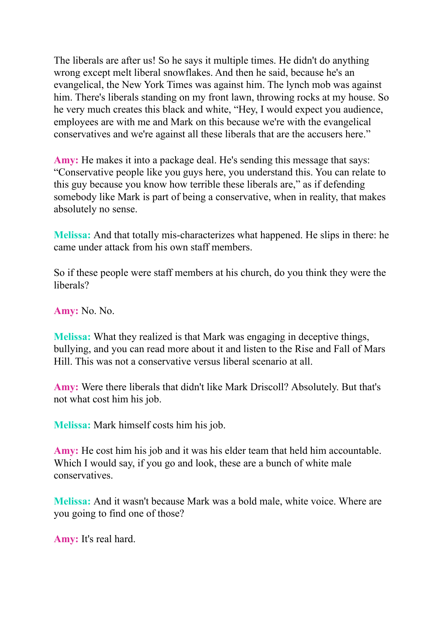The liberals are after us! So he says it multiple times. He didn't do anything wrong except melt liberal snowflakes. And then he said, because he's an evangelical, the New York Times was against him. The lynch mob was against him. There's liberals standing on my front lawn, throwing rocks at my house. So he very much creates this black and white, "Hey, I would expect you audience, employees are with me and Mark on this because we're with the evangelical conservatives and we're against all these liberals that are the accusers here."

**Amy:** He makes it into a package deal. He's sending this message that says: "Conservative people like you guys here, you understand this. You can relate to this guy because you know how terrible these liberals are," as if defending somebody like Mark is part of being a conservative, when in reality, that makes absolutely no sense.

**Melissa:** And that totally mis-characterizes what happened. He slips in there: he came under attack from his own staff members.

So if these people were staff members at his church, do you think they were the liberals?

**Amy:** No. No.

**Melissa:** What they realized is that Mark was engaging in deceptive things, bullying, and you can read more about it and listen to the Rise and Fall of Mars Hill. This was not a conservative versus liberal scenario at all.

**Amy:** Were there liberals that didn't like Mark Driscoll? Absolutely. But that's not what cost him his job.

**Melissa:** Mark himself costs him his job.

**Amy:** He cost him his job and it was his elder team that held him accountable. Which I would say, if you go and look, these are a bunch of white male conservatives.

**Melissa:** And it wasn't because Mark was a bold male, white voice. Where are you going to find one of those?

**Amy:** It's real hard.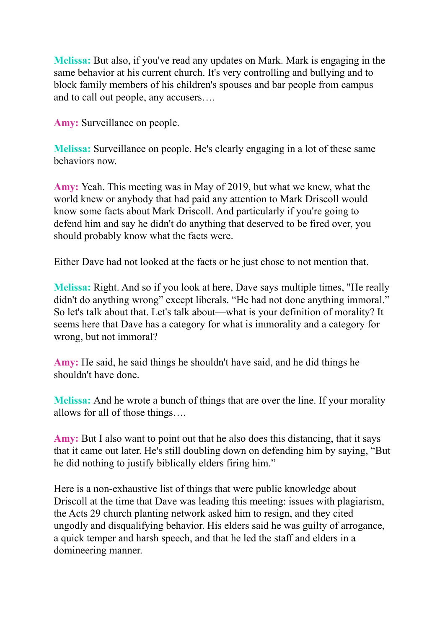**Melissa:** But also, if you've read any updates on Mark. Mark is engaging in the same behavior at his current church. It's very controlling and bullying and to block family members of his children's spouses and bar people from campus and to call out people, any accusers….

**Amy:** Surveillance on people.

**Melissa:** Surveillance on people. He's clearly engaging in a lot of these same behaviors now.

**Amy:** Yeah. This meeting was in May of 2019, but what we knew, what the world knew or anybody that had paid any attention to Mark Driscoll would know some facts about Mark Driscoll. And particularly if you're going to defend him and say he didn't do anything that deserved to be fired over, you should probably know what the facts were.

Either Dave had not looked at the facts or he just chose to not mention that.

**Melissa:** Right. And so if you look at here, Dave says multiple times, "He really didn't do anything wrong" except liberals. "He had not done anything immoral." So let's talk about that. Let's talk about—what is your definition of morality? It seems here that Dave has a category for what is immorality and a category for wrong, but not immoral?

**Amy:** He said, he said things he shouldn't have said, and he did things he shouldn't have done.

**Melissa:** And he wrote a bunch of things that are over the line. If your morality allows for all of those things….

**Amy:** But I also want to point out that he also does this distancing, that it says that it came out later. He's still doubling down on defending him by saying, "But he did nothing to justify biblically elders firing him."

Here is a non-exhaustive list of things that were public knowledge about Driscoll at the time that Dave was leading this meeting: issues with plagiarism, the Acts 29 church planting network asked him to resign, and they cited ungodly and disqualifying behavior. His elders said he was guilty of arrogance, a quick temper and harsh speech, and that he led the staff and elders in a domineering manner.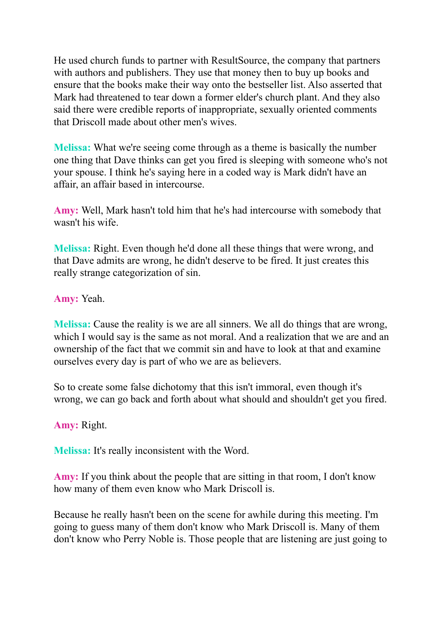He used church funds to partner with ResultSource, the company that partners with authors and publishers. They use that money then to buy up books and ensure that the books make their way onto the bestseller list. Also asserted that Mark had threatened to tear down a former elder's church plant. And they also said there were credible reports of inappropriate, sexually oriented comments that Driscoll made about other men's wives.

**Melissa:** What we're seeing come through as a theme is basically the number one thing that Dave thinks can get you fired is sleeping with someone who's not your spouse. I think he's saying here in a coded way is Mark didn't have an affair, an affair based in intercourse.

**Amy:** Well, Mark hasn't told him that he's had intercourse with somebody that wasn't his wife.

**Melissa:** Right. Even though he'd done all these things that were wrong, and that Dave admits are wrong, he didn't deserve to be fired. It just creates this really strange categorization of sin.

**Amy:** Yeah.

**Melissa:** Cause the reality is we are all sinners. We all do things that are wrong, which I would say is the same as not moral. And a realization that we are and an ownership of the fact that we commit sin and have to look at that and examine ourselves every day is part of who we are as believers.

So to create some false dichotomy that this isn't immoral, even though it's wrong, we can go back and forth about what should and shouldn't get you fired.

**Amy:** Right.

**Melissa:** It's really inconsistent with the Word.

**Amy:** If you think about the people that are sitting in that room, I don't know how many of them even know who Mark Driscoll is.

Because he really hasn't been on the scene for awhile during this meeting. I'm going to guess many of them don't know who Mark Driscoll is. Many of them don't know who Perry Noble is. Those people that are listening are just going to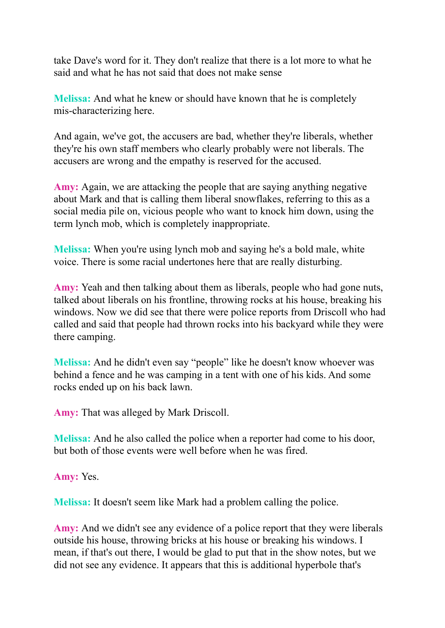take Dave's word for it. They don't realize that there is a lot more to what he said and what he has not said that does not make sense

**Melissa:** And what he knew or should have known that he is completely mis-characterizing here.

And again, we've got, the accusers are bad, whether they're liberals, whether they're his own staff members who clearly probably were not liberals. The accusers are wrong and the empathy is reserved for the accused.

**Amy:** Again, we are attacking the people that are saying anything negative about Mark and that is calling them liberal snowflakes, referring to this as a social media pile on, vicious people who want to knock him down, using the term lynch mob, which is completely inappropriate.

**Melissa:** When you're using lynch mob and saying he's a bold male, white voice. There is some racial undertones here that are really disturbing.

**Amy:** Yeah and then talking about them as liberals, people who had gone nuts, talked about liberals on his frontline, throwing rocks at his house, breaking his windows. Now we did see that there were police reports from Driscoll who had called and said that people had thrown rocks into his backyard while they were there camping.

**Melissa:** And he didn't even say "people" like he doesn't know whoever was behind a fence and he was camping in a tent with one of his kids. And some rocks ended up on his back lawn.

**Amy:** That was alleged by Mark Driscoll.

**Melissa:** And he also called the police when a reporter had come to his door, but both of those events were well before when he was fired.

**Amy:** Yes.

**Melissa:** It doesn't seem like Mark had a problem calling the police.

**Amy:** And we didn't see any evidence of a police report that they were liberals outside his house, throwing bricks at his house or breaking his windows. I mean, if that's out there, I would be glad to put that in the show notes, but we did not see any evidence. It appears that this is additional hyperbole that's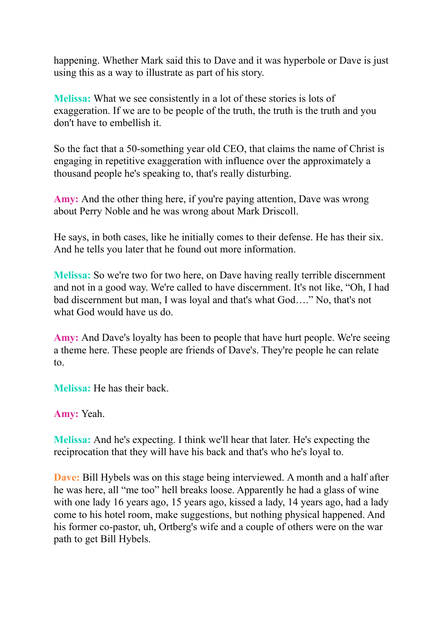happening. Whether Mark said this to Dave and it was hyperbole or Dave is just using this as a way to illustrate as part of his story.

**Melissa:** What we see consistently in a lot of these stories is lots of exaggeration. If we are to be people of the truth, the truth is the truth and you don't have to embellish it.

So the fact that a 50-something year old CEO, that claims the name of Christ is engaging in repetitive exaggeration with influence over the approximately a thousand people he's speaking to, that's really disturbing.

**Amy:** And the other thing here, if you're paying attention, Dave was wrong about Perry Noble and he was wrong about Mark Driscoll.

He says, in both cases, like he initially comes to their defense. He has their six. And he tells you later that he found out more information.

**Melissa:** So we're two for two here, on Dave having really terrible discernment and not in a good way. We're called to have discernment. It's not like, "Oh, I had bad discernment but man, I was loyal and that's what God…." No, that's not what God would have us do.

**Amy:** And Dave's loyalty has been to people that have hurt people. We're seeing a theme here. These people are friends of Dave's. They're people he can relate to.

**Melissa:** He has their back.

**Amy:** Yeah.

**Melissa:** And he's expecting. I think we'll hear that later. He's expecting the reciprocation that they will have his back and that's who he's loyal to.

**Dave:** Bill Hybels was on this stage being interviewed. A month and a half after he was here, all "me too" hell breaks loose. Apparently he had a glass of wine with one lady 16 years ago, 15 years ago, kissed a lady, 14 years ago, had a lady come to his hotel room, make suggestions, but nothing physical happened. And his former co-pastor, uh, Ortberg's wife and a couple of others were on the war path to get Bill Hybels.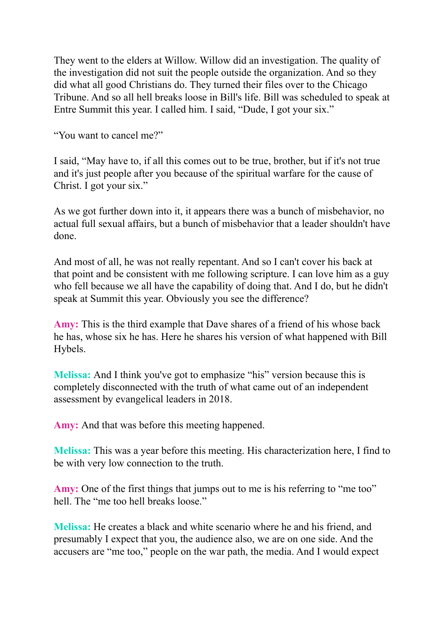They went to the elders at Willow. Willow did an investigation. The quality of the investigation did not suit the people outside the organization. And so they did what all good Christians do. They turned their files over to the Chicago Tribune. And so all hell breaks loose in Bill's life. Bill was scheduled to speak at Entre Summit this year. I called him. I said, "Dude, I got your six."

"You want to cancel me?"

I said, "May have to, if all this comes out to be true, brother, but if it's not true and it's just people after you because of the spiritual warfare for the cause of Christ. I got your six."

As we got further down into it, it appears there was a bunch of misbehavior, no actual full sexual affairs, but a bunch of misbehavior that a leader shouldn't have done.

And most of all, he was not really repentant. And so I can't cover his back at that point and be consistent with me following scripture. I can love him as a guy who fell because we all have the capability of doing that. And I do, but he didn't speak at Summit this year. Obviously you see the difference?

**Amy:** This is the third example that Dave shares of a friend of his whose back he has, whose six he has. Here he shares his version of what happened with Bill Hybels.

**Melissa:** And I think you've got to emphasize "his" version because this is completely disconnected with the truth of what came out of an independent assessment by evangelical leaders in 2018.

**Amy:** And that was before this meeting happened.

**Melissa:** This was a year before this meeting. His characterization here, I find to be with very low connection to the truth.

**Amy:** One of the first things that jumps out to me is his referring to "me too" hell. The "me too hell breaks loose."

**Melissa:** He creates a black and white scenario where he and his friend, and presumably I expect that you, the audience also, we are on one side. And the accusers are "me too," people on the war path, the media. And I would expect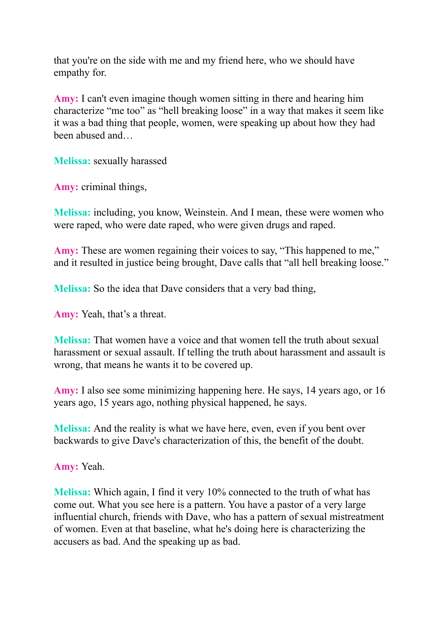that you're on the side with me and my friend here, who we should have empathy for.

**Amy:** I can't even imagine though women sitting in there and hearing him characterize "me too" as "hell breaking loose" in a way that makes it seem like it was a bad thing that people, women, were speaking up about how they had been abused and…

**Melissa:** sexually harassed

**Amy:** criminal things,

**Melissa:** including, you know, Weinstein. And I mean, these were women who were raped, who were date raped, who were given drugs and raped.

**Amy:** These are women regaining their voices to say, "This happened to me," and it resulted in justice being brought, Dave calls that "all hell breaking loose."

**Melissa:** So the idea that Dave considers that a very bad thing,

**Amy:** Yeah, that's a threat.

**Melissa:** That women have a voice and that women tell the truth about sexual harassment or sexual assault. If telling the truth about harassment and assault is wrong, that means he wants it to be covered up.

**Amy:** I also see some minimizing happening here. He says, 14 years ago, or 16 years ago, 15 years ago, nothing physical happened, he says.

**Melissa:** And the reality is what we have here, even, even if you bent over backwards to give Dave's characterization of this, the benefit of the doubt.

**Amy:** Yeah.

**Melissa:** Which again, I find it very 10% connected to the truth of what has come out. What you see here is a pattern. You have a pastor of a very large influential church, friends with Dave, who has a pattern of sexual mistreatment of women. Even at that baseline, what he's doing here is characterizing the accusers as bad. And the speaking up as bad.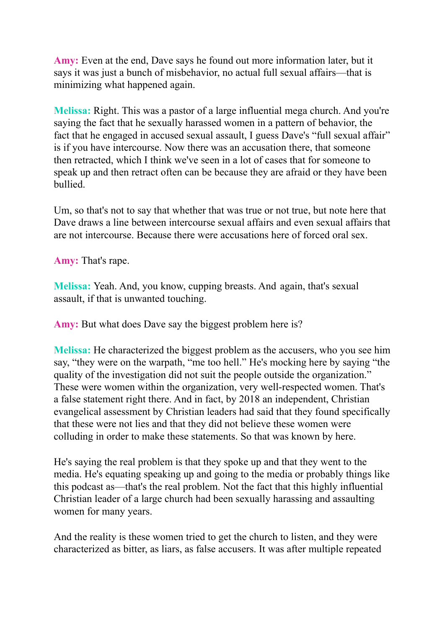**Amy:** Even at the end, Dave says he found out more information later, but it says it was just a bunch of misbehavior, no actual full sexual affairs—that is minimizing what happened again.

**Melissa:** Right. This was a pastor of a large influential mega church. And you're saying the fact that he sexually harassed women in a pattern of behavior, the fact that he engaged in accused sexual assault, I guess Dave's "full sexual affair" is if you have intercourse. Now there was an accusation there, that someone then retracted, which I think we've seen in a lot of cases that for someone to speak up and then retract often can be because they are afraid or they have been bullied.

Um, so that's not to say that whether that was true or not true, but note here that Dave draws a line between intercourse sexual affairs and even sexual affairs that are not intercourse. Because there were accusations here of forced oral sex.

**Amy:** That's rape.

**Melissa:** Yeah. And, you know, cupping breasts. And again, that's sexual assault, if that is unwanted touching.

**Amy:** But what does Dave say the biggest problem here is?

**Melissa:** He characterized the biggest problem as the accusers, who you see him say, "they were on the warpath, "me too hell." He's mocking here by saying "the quality of the investigation did not suit the people outside the organization." These were women within the organization, very well-respected women. That's a false statement right there. And in fact, by 2018 an independent, Christian evangelical assessment by Christian leaders had said that they found specifically that these were not lies and that they did not believe these women were colluding in order to make these statements. So that was known by here.

He's saying the real problem is that they spoke up and that they went to the media. He's equating speaking up and going to the media or probably things like this podcast as—that's the real problem. Not the fact that this highly influential Christian leader of a large church had been sexually harassing and assaulting women for many years.

And the reality is these women tried to get the church to listen, and they were characterized as bitter, as liars, as false accusers. It was after multiple repeated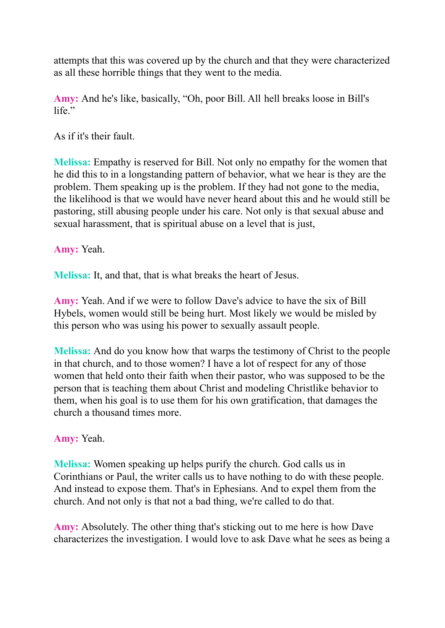attempts that this was covered up by the church and that they were characterized as all these horrible things that they went to the media.

**Amy:** And he's like, basically, "Oh, poor Bill. All hell breaks loose in Bill's life."

As if it's their fault.

**Melissa:** Empathy is reserved for Bill. Not only no empathy for the women that he did this to in a longstanding pattern of behavior, what we hear is they are the problem. Them speaking up is the problem. If they had not gone to the media, the likelihood is that we would have never heard about this and he would still be pastoring, still abusing people under his care. Not only is that sexual abuse and sexual harassment, that is spiritual abuse on a level that is just,

#### **Amy:** Yeah.

**Melissa:** It, and that, that is what breaks the heart of Jesus.

**Amy:** Yeah. And if we were to follow Dave's advice to have the six of Bill Hybels, women would still be being hurt. Most likely we would be misled by this person who was using his power to sexually assault people.

**Melissa:** And do you know how that warps the testimony of Christ to the people in that church, and to those women? I have a lot of respect for any of those women that held onto their faith when their pastor, who was supposed to be the person that is teaching them about Christ and modeling Christlike behavior to them, when his goal is to use them for his own gratification, that damages the church a thousand times more.

# **Amy:** Yeah.

**Melissa:** Women speaking up helps purify the church. God calls us in Corinthians or Paul, the writer calls us to have nothing to do with these people. And instead to expose them. That's in Ephesians. And to expel them from the church. And not only is that not a bad thing, we're called to do that.

**Amy:** Absolutely. The other thing that's sticking out to me here is how Dave characterizes the investigation. I would love to ask Dave what he sees as being a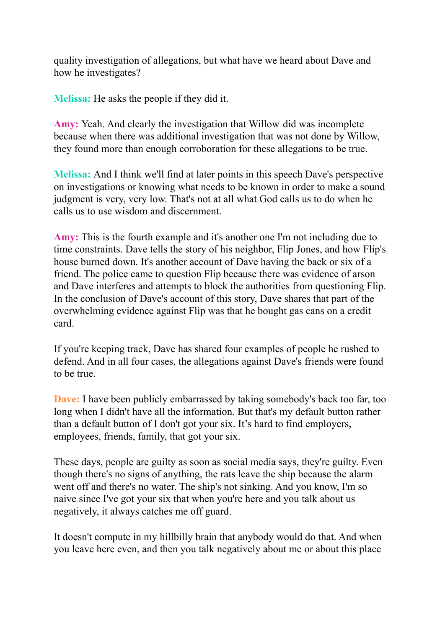quality investigation of allegations, but what have we heard about Dave and how he investigates?

**Melissa:** He asks the people if they did it.

**Amy:** Yeah. And clearly the investigation that Willow did was incomplete because when there was additional investigation that was not done by Willow, they found more than enough corroboration for these allegations to be true.

**Melissa:** And I think we'll find at later points in this speech Dave's perspective on investigations or knowing what needs to be known in order to make a sound judgment is very, very low. That's not at all what God calls us to do when he calls us to use wisdom and discernment.

**Amy:** This is the fourth example and it's another one I'm not including due to time constraints. Dave tells the story of his neighbor, Flip Jones, and how Flip's house burned down. It's another account of Dave having the back or six of a friend. The police came to question Flip because there was evidence of arson and Dave interferes and attempts to block the authorities from questioning Flip. In the conclusion of Dave's account of this story, Dave shares that part of the overwhelming evidence against Flip was that he bought gas cans on a credit card.

If you're keeping track, Dave has shared four examples of people he rushed to defend. And in all four cases, the allegations against Dave's friends were found to be true.

**Dave:** I have been publicly embarrassed by taking somebody's back too far, too long when I didn't have all the information. But that's my default button rather than a default button of I don't got your six. It's hard to find employers, employees, friends, family, that got your six.

These days, people are guilty as soon as social media says, they're guilty. Even though there's no signs of anything, the rats leave the ship because the alarm went off and there's no water. The ship's not sinking. And you know, I'm so naive since I've got your six that when you're here and you talk about us negatively, it always catches me off guard.

It doesn't compute in my hillbilly brain that anybody would do that. And when you leave here even, and then you talk negatively about me or about this place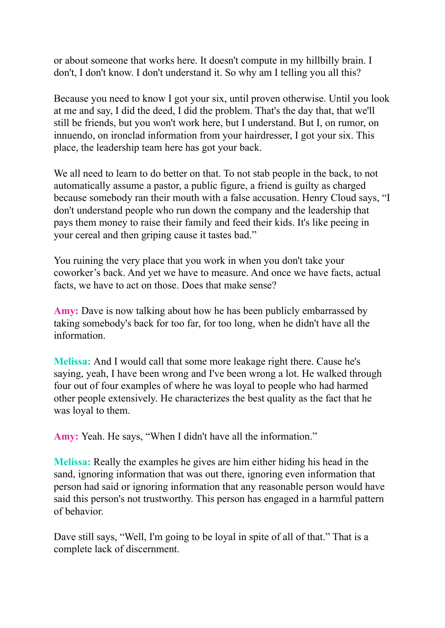or about someone that works here. It doesn't compute in my hillbilly brain. I don't, I don't know. I don't understand it. So why am I telling you all this?

Because you need to know I got your six, until proven otherwise. Until you look at me and say, I did the deed, I did the problem. That's the day that, that we'll still be friends, but you won't work here, but I understand. But I, on rumor, on innuendo, on ironclad information from your hairdresser, I got your six. This place, the leadership team here has got your back.

We all need to learn to do better on that. To not stab people in the back, to not automatically assume a pastor, a public figure, a friend is guilty as charged because somebody ran their mouth with a false accusation. Henry Cloud says, "I don't understand people who run down the company and the leadership that pays them money to raise their family and feed their kids. It's like peeing in your cereal and then griping cause it tastes bad."

You ruining the very place that you work in when you don't take your coworker's back. And yet we have to measure. And once we have facts, actual facts, we have to act on those. Does that make sense?

**Amy:** Dave is now talking about how he has been publicly embarrassed by taking somebody's back for too far, for too long, when he didn't have all the information.

**Melissa:** And I would call that some more leakage right there. Cause he's saying, yeah, I have been wrong and I've been wrong a lot. He walked through four out of four examples of where he was loyal to people who had harmed other people extensively. He characterizes the best quality as the fact that he was loyal to them.

**Amy:** Yeah. He says, "When I didn't have all the information."

**Melissa:** Really the examples he gives are him either hiding his head in the sand, ignoring information that was out there, ignoring even information that person had said or ignoring information that any reasonable person would have said this person's not trustworthy. This person has engaged in a harmful pattern of behavior.

Dave still says, "Well, I'm going to be loyal in spite of all of that." That is a complete lack of discernment.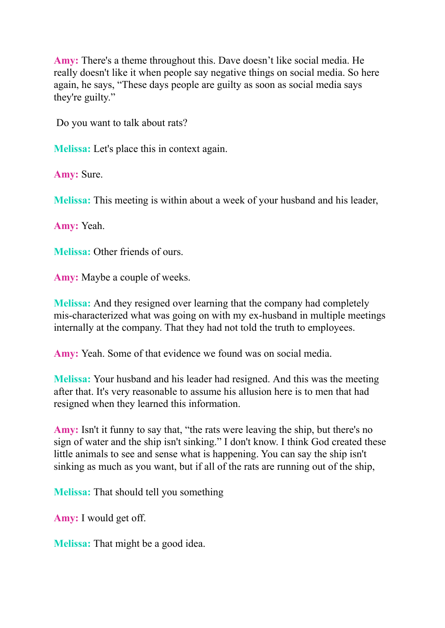**Amy:** There's a theme throughout this. Dave doesn't like social media. He really doesn't like it when people say negative things on social media. So here again, he says, "These days people are guilty as soon as social media says they're guilty."

Do you want to talk about rats?

**Melissa:** Let's place this in context again.

**Amy:** Sure.

**Melissa:** This meeting is within about a week of your husband and his leader,

**Amy:** Yeah.

**Melissa:** Other friends of ours.

**Amy:** Maybe a couple of weeks.

**Melissa:** And they resigned over learning that the company had completely mis-characterized what was going on with my ex-husband in multiple meetings internally at the company. That they had not told the truth to employees.

**Amy:** Yeah. Some of that evidence we found was on social media.

**Melissa:** Your husband and his leader had resigned. And this was the meeting after that. It's very reasonable to assume his allusion here is to men that had resigned when they learned this information.

**Amy:** Isn't it funny to say that, "the rats were leaving the ship, but there's no sign of water and the ship isn't sinking." I don't know. I think God created these little animals to see and sense what is happening. You can say the ship isn't sinking as much as you want, but if all of the rats are running out of the ship,

**Melissa:** That should tell you something

**Amy:** I would get off.

**Melissa:** That might be a good idea.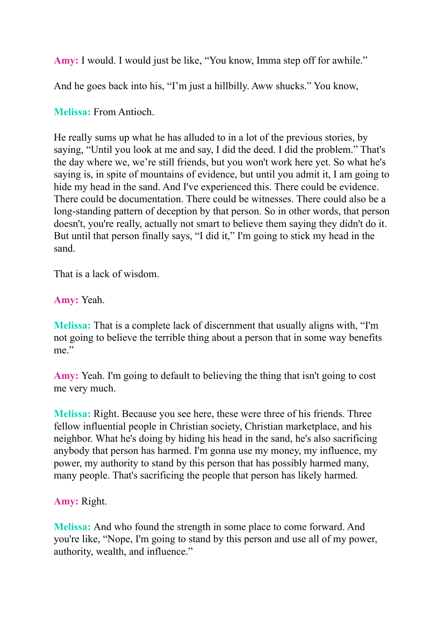**Amy:** I would. I would just be like, "You know, Imma step off for awhile."

And he goes back into his, "I'm just a hillbilly. Aww shucks." You know,

### **Melissa:** From Antioch.

He really sums up what he has alluded to in a lot of the previous stories, by saying, "Until you look at me and say, I did the deed. I did the problem." That's the day where we, we're still friends, but you won't work here yet. So what he's saying is, in spite of mountains of evidence, but until you admit it, I am going to hide my head in the sand. And I've experienced this. There could be evidence. There could be documentation. There could be witnesses. There could also be a long-standing pattern of deception by that person. So in other words, that person doesn't, you're really, actually not smart to believe them saying they didn't do it. But until that person finally says, "I did it," I'm going to stick my head in the sand.

That is a lack of wisdom.

**Amy:** Yeah.

**Melissa:** That is a complete lack of discernment that usually aligns with, "I'm not going to believe the terrible thing about a person that in some way benefits me"

**Amy:** Yeah. I'm going to default to believing the thing that isn't going to cost me very much.

**Melissa:** Right. Because you see here, these were three of his friends. Three fellow influential people in Christian society, Christian marketplace, and his neighbor. What he's doing by hiding his head in the sand, he's also sacrificing anybody that person has harmed. I'm gonna use my money, my influence, my power, my authority to stand by this person that has possibly harmed many, many people. That's sacrificing the people that person has likely harmed.

**Amy:** Right.

**Melissa:** And who found the strength in some place to come forward. And you're like, "Nope, I'm going to stand by this person and use all of my power, authority, wealth, and influence."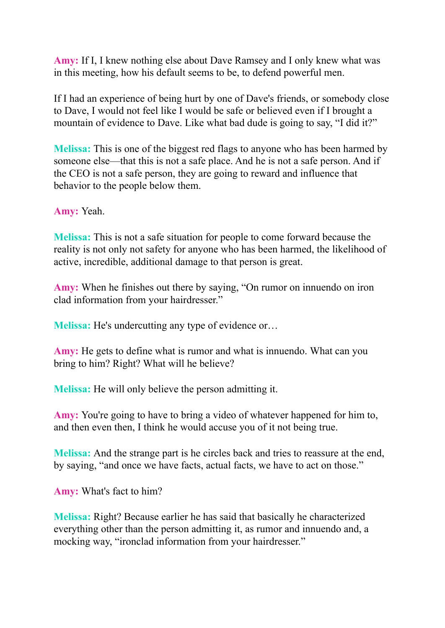**Amy:** If I, I knew nothing else about Dave Ramsey and I only knew what was in this meeting, how his default seems to be, to defend powerful men.

If I had an experience of being hurt by one of Dave's friends, or somebody close to Dave, I would not feel like I would be safe or believed even if I brought a mountain of evidence to Dave. Like what bad dude is going to say, "I did it?"

**Melissa:** This is one of the biggest red flags to anyone who has been harmed by someone else—that this is not a safe place. And he is not a safe person. And if the CEO is not a safe person, they are going to reward and influence that behavior to the people below them.

**Amy:** Yeah.

**Melissa:** This is not a safe situation for people to come forward because the reality is not only not safety for anyone who has been harmed, the likelihood of active, incredible, additional damage to that person is great.

**Amy:** When he finishes out there by saying, "On rumor on innuendo on iron clad information from your hairdresser."

**Melissa:** He's undercutting any type of evidence or…

**Amy:** He gets to define what is rumor and what is innuendo. What can you bring to him? Right? What will he believe?

**Melissa:** He will only believe the person admitting it.

**Amy:** You're going to have to bring a video of whatever happened for him to, and then even then, I think he would accuse you of it not being true.

**Melissa:** And the strange part is he circles back and tries to reassure at the end, by saying, "and once we have facts, actual facts, we have to act on those."

**Amy:** What's fact to him?

**Melissa:** Right? Because earlier he has said that basically he characterized everything other than the person admitting it, as rumor and innuendo and, a mocking way, "ironclad information from your hairdresser."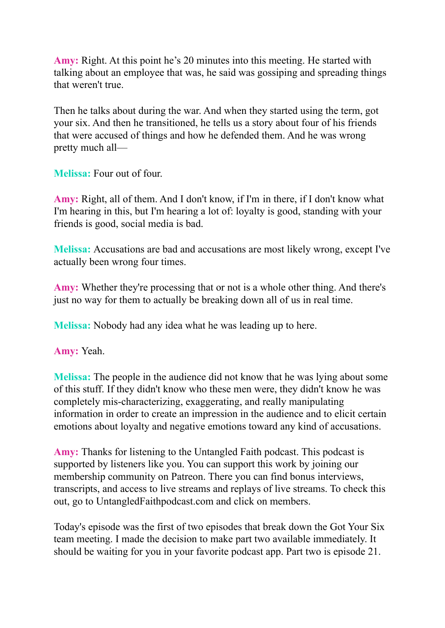**Amy:** Right. At this point he's 20 minutes into this meeting. He started with talking about an employee that was, he said was gossiping and spreading things that weren't true.

Then he talks about during the war. And when they started using the term, got your six. And then he transitioned, he tells us a story about four of his friends that were accused of things and how he defended them. And he was wrong pretty much all—

**Melissa:** Four out of four.

**Amy:** Right, all of them. And I don't know, if I'm in there, if I don't know what I'm hearing in this, but I'm hearing a lot of: loyalty is good, standing with your friends is good, social media is bad.

**Melissa:** Accusations are bad and accusations are most likely wrong, except I've actually been wrong four times.

**Amy:** Whether they're processing that or not is a whole other thing. And there's just no way for them to actually be breaking down all of us in real time.

**Melissa:** Nobody had any idea what he was leading up to here.

**Amy:** Yeah.

**Melissa:** The people in the audience did not know that he was lying about some of this stuff. If they didn't know who these men were, they didn't know he was completely mis-characterizing, exaggerating, and really manipulating information in order to create an impression in the audience and to elicit certain emotions about loyalty and negative emotions toward any kind of accusations.

**Amy:** Thanks for listening to the Untangled Faith podcast. This podcast is supported by listeners like you. You can support this work by joining our membership community on Patreon. There you can find bonus interviews, transcripts, and access to live streams and replays of live streams. To check this out, go to UntangledFaithpodcast.com and click on members.

Today's episode was the first of two episodes that break down the Got Your Six team meeting. I made the decision to make part two available immediately. It should be waiting for you in your favorite podcast app. Part two is episode 21.